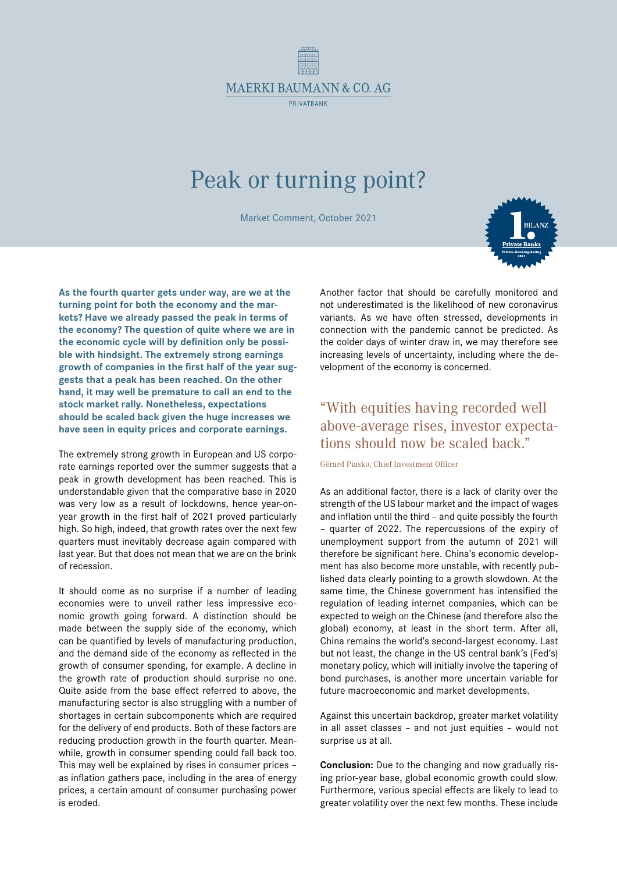

## Peak or turning point?

Market Comment, October 2021

**As the fourth quarter gets under way, are we at the turning point for both the economy and the markets? Have we already passed the peak in terms of the economy? The question of quite where we are in the economic cycle will by definition only be possible with hindsight. The extremely strong earnings growth of companies in the first half of the year suggests that a peak has been reached. On the other hand, it may well be premature to call an end to the stock market rally. Nonetheless, expectations should be scaled back given the huge increases we have seen in equity prices and corporate earnings.**

The extremely strong growth in European and US corporate earnings reported over the summer suggests that a peak in growth development has been reached. This is understandable given that the comparative base in 2020 was very low as a result of lockdowns, hence year-onyear growth in the first half of 2021 proved particularly high. So high, indeed, that growth rates over the next few quarters must inevitably decrease again compared with last year. But that does not mean that we are on the brink of recession.

It should come as no surprise if a number of leading economies were to unveil rather less impressive economic growth going forward. A distinction should be made between the supply side of the economy, which can be quantified by levels of manufacturing production, and the demand side of the economy as reflected in the growth of consumer spending, for example. A decline in the growth rate of production should surprise no one. Quite aside from the base effect referred to above, the manufacturing sector is also struggling with a number of shortages in certain subcomponents which are required for the delivery of end products. Both of these factors are reducing production growth in the fourth quarter. Meanwhile, growth in consumer spending could fall back too. This may well be explained by rises in consumer prices – as inflation gathers pace, including in the area of energy prices, a certain amount of consumer purchasing power is eroded.

Another factor that should be carefully monitored and not underestimated is the likelihood of new coronavirus variants. As we have often stressed, developments in connection with the pandemic cannot be predicted. As the colder days of winter draw in, we may therefore see increasing levels of uncertainty, including where the development of the economy is concerned.

## "With equities having recorded well above-average rises, investor expectations should now be scaled back."

Gérard Piasko, Chief Investment Officer

As an additional factor, there is a lack of clarity over the strength of the US labour market and the impact of wages and inflation until the third – and quite possibly the fourth – quarter of 2022. The repercussions of the expiry of unemployment support from the autumn of 2021 will therefore be significant here. China's economic development has also become more unstable, with recently published data clearly pointing to a growth slowdown. At the same time, the Chinese government has intensified the regulation of leading internet companies, which can be expected to weigh on the Chinese (and therefore also the global) economy, at least in the short term. After all, China remains the world's second-largest economy. Last but not least, the change in the US central bank's (Fed's) monetary policy, which will initially involve the tapering of bond purchases, is another more uncertain variable for future macroeconomic and market developments.

Against this uncertain backdrop, greater market volatility in all asset classes – and not just equities – would not surprise us at all.

**Conclusion:** Due to the changing and now gradually rising prior-year base, global economic growth could slow. Furthermore, various special effects are likely to lead to greater volatility over the next few months. These include